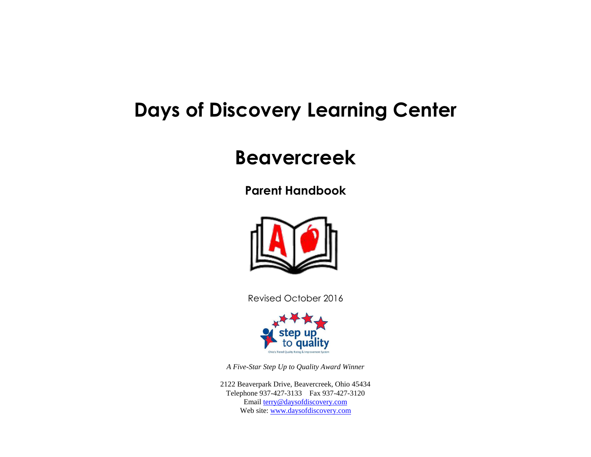# **Days of Discovery Learning Center**

## **Beavercreek**

**Parent Handbook**



Revised October 2016



*A Five-Star Step Up to Quality Award Winner*

2122 Beaverpark Drive, Beavercreek, Ohio 45434 Telephone 937-427-3133 Fax 937-427-3120 Emai[l terry@daysofdiscovery.com](mailto:terry@daysofdiscovery.com) Web site: [www.daysofdiscovery.com](http://www.daysofdiscovery.com/)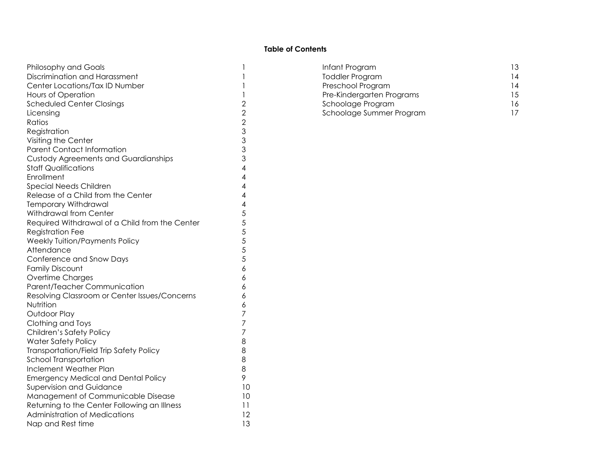## **Table of Contents**

| <b>Philosophy and Goals</b>                    | 1              |
|------------------------------------------------|----------------|
| Discrimination and Harassment                  | 1              |
| Center Locations/Tax ID Number                 | 1              |
| <b>Hours of Operation</b>                      | 1              |
| <b>Scheduled Center Closings</b>               | $\overline{2}$ |
| Licensing                                      | $\overline{2}$ |
| Ratios                                         | $\overline{2}$ |
| Registration                                   | 3              |
| Visiting the Center                            | 3              |
| <b>Parent Contact Information</b>              | 3              |
| <b>Custody Agreements and Guardianships</b>    | 3              |
| <b>Staff Qualifications</b>                    | 4              |
| Enrollment                                     | 4              |
| <b>Special Needs Children</b>                  | 4              |
| Release of a Child from the Center             | 4              |
| <b>Temporary Withdrawal</b>                    | 4              |
| Withdrawal from Center                         | 5              |
| Required Withdrawal of a Child from the Center | 5              |
| <b>Registration Fee</b>                        | 5              |
| <b>Weekly Tuition/Payments Policy</b>          | 5              |
| Attendance                                     | 5              |
| Conference and Snow Days                       | 5              |
| <b>Family Discount</b>                         | 6              |
| Overtime Charges                               | 6              |
| Parent/Teacher Communication                   | 6              |
| Resolving Classroom or Center Issues/Concerns  | 6              |
| Nutrition                                      | 6              |
| Outdoor Play                                   | 7              |
| Clothing and Toys                              | 7              |
| Children's Safety Policy                       | 7              |
| <b>Water Safety Policy</b>                     | 8              |
| Transportation/Field Trip Safety Policy        | 8              |
| School Transportation                          | 8              |
| Inclement Weather Plan                         | 8              |
| <b>Emergency Medical and Dental Policy</b>     | 9              |
| <b>Supervision and Guidance</b>                | 10             |
| Management of Communicable Disease             | 10             |
| Returning to the Center Following an Illness   | 11             |
| <b>Administration of Medications</b>           | 12             |
| Nap and Rest time                              | 13             |

|   | Infant Program            | 13 |
|---|---------------------------|----|
|   | <b>Toddler Program</b>    | 14 |
|   | Preschool Program         | 14 |
|   | Pre-Kindergarten Programs | 15 |
| 2 | Schoolage Program         | 16 |
| 2 | Schoolage Summer Program  |    |
|   |                           |    |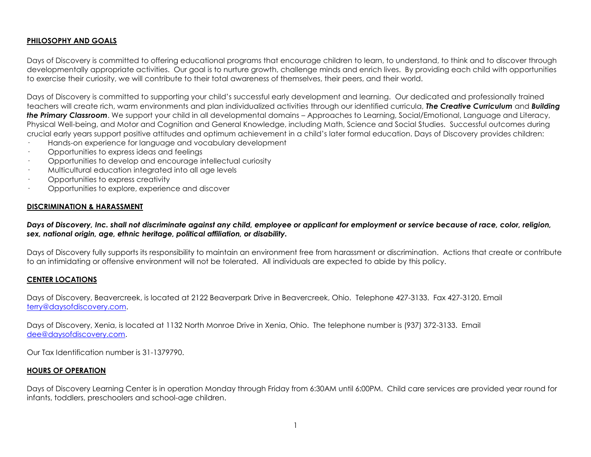## **PHILOSOPHY AND GOALS**

Days of Discovery is committed to offering educational programs that encourage children to learn, to understand, to think and to discover through developmentally appropriate activities. Our goal is to nurture growth, challenge minds and enrich lives. By providing each child with opportunities to exercise their curiosity, we will contribute to their total awareness of themselves, their peers, and their world.

Days of Discovery is committed to supporting your child's successful early development and learning. Our dedicated and professionally trained teachers will create rich, warm environments and plan individualized activities through our identified curricula, *The Creative Curriculum* and *Building the Primary Classroom*. We support your child in all developmental domains – Approaches to Learning, Social/Emotional, Language and Literacy, Physical Well-being, and Motor and Cognition and General Knowledge, including Math, Science and Social Studies. Successful outcomes during crucial early years support positive attitudes and optimum achievement in a child's later formal education. Days of Discovery provides children:

- Hands-on experience for language and vocabulary development
- · Opportunities to express ideas and feelings
- · Opportunities to develop and encourage intellectual curiosity
- · Multicultural education integrated into all age levels
- · Opportunities to express creativity
- · Opportunities to explore, experience and discover

## **DISCRIMINATION & HARASSMENT**

*Days of Discovery, Inc. shall not discriminate against any child, employee or applicant for employment or service because of race, color, religion, sex, national origin, age, ethnic heritage, political affiliation, or disability.*

Days of Discovery fully supports its responsibility to maintain an environment free from harassment or discrimination. Actions that create or contribute to an intimidating or offensive environment will not be tolerated. All individuals are expected to abide by this policy.

## **CENTER LOCATIONS**

Days of Discovery, Beavercreek, is located at 2122 Beaverpark Drive in Beavercreek, Ohio. Telephone 427-3133. Fax 427-3120. Email [terry@daysofdiscovery.com.](mailto:terry@daysofdiscovery.com)

Days of Discovery, Xenia, is located at 1132 North Monroe Drive in Xenia, Ohio. The telephone number is (937) 372-3133. Email [dee@daysofdiscovery.com.](mailto:dee@daysofdiscovery.com)

Our Tax Identification number is 31-1379790.

## **HOURS OF OPERATION**

Days of Discovery Learning Center is in operation Monday through Friday from 6:30AM until 6:00PM. Child care services are provided year round for infants, toddlers, preschoolers and school-age children.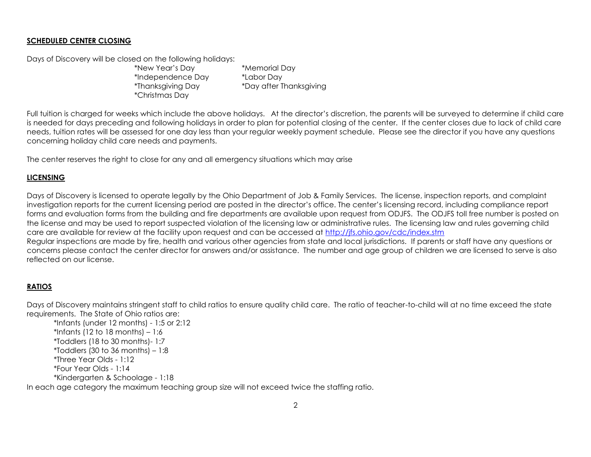## **SCHEDULED CENTER CLOSING**

Days of Discovery will be closed on the following holidays:

\*New Year's Day \*Memorial Day \*Independence Day \*Labor Day \*Christmas Day

\*Thanksgiving Day \*Day after Thanksgiving

Full tuition is charaed for weeks which include the above holidays. At the director's discretion, the parents will be surveyed to determine if child care is needed for days preceding and following holidays in order to plan for potential closing of the center. If the center closes due to lack of child care needs, tuition rates will be assessed for one day less than your regular weekly payment schedule. Please see the director if you have any questions concerning holiday child care needs and payments.

The center reserves the right to close for any and all emergency situations which may arise

## **LICENSING**

Days of Discovery is licensed to operate legally by the Ohio Department of Job & Family Services. The license, inspection reports, and complaint investigation reports for the current licensing period are posted in the director's office. The center's licensing record, including compliance report forms and evaluation forms from the building and fire departments are available upon request from ODJFS. The ODJFS toll free number is posted on the license and may be used to report suspected violation of the licensing law or administrative rules. The licensing law and rules governing child care are available for review at the facility upon request and can be accessed at<http://jfs.ohio.gov/cdc/index.stm> Regular inspections are made by fire, health and various other agencies from state and local jurisdictions. If parents or staff have any questions or

concerns please contact the center director for answers and/or assistance. The number and age group of children we are licensed to serve is also reflected on our license.

## **RATIOS**

Days of Discovery maintains stringent staff to child ratios to ensure quality child care. The ratio of teacher-to-child will at no time exceed the state requirements. The State of Ohio ratios are:

\*Infants (under 12 months) - 1:5 or 2:12 \*Infants (12 to 18 months)  $-1:6$ \*Toddlers (18 to 30 months)- 1:7 \*Toddlers (30 to 36 months)  $-1:8$ \*Three Year Olds - 1:12 \*Four Year Olds - 1:14 \*Kindergarten & Schoolage - 1:18 In each age category the maximum teaching group size will not exceed twice the staffing ratio.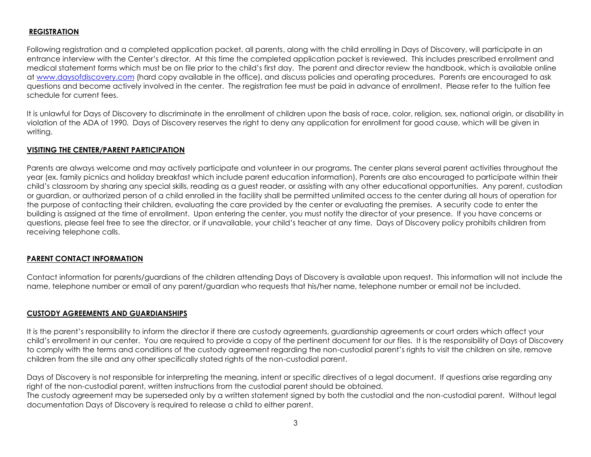## **REGISTRATION**

Following registration and a completed application packet, all parents, along with the child enrolling in Days of Discovery, will participate in an entrance interview with the Center's director. At this time the completed application packet is reviewed. This includes prescribed enrollment and medical statement forms which must be on file prior to the child's first day. The parent and director review the handbook, which is available online at [www.daysofdiscovery.com](http://www.daysofdiscovery.com/) (hard copy available in the office), and discuss policies and operating procedures. Parents are encouraged to ask questions and become actively involved in the center. The registration fee must be paid in advance of enrollment. Please refer to the tuition fee schedule for current fees.

It is unlawful for Days of Discovery to discriminate in the enrollment of children upon the basis of race, color, religion, sex, national origin, or disability in violation of the ADA of 1990. Days of Discovery reserves the right to deny any application for enrollment for good cause, which will be given in writing.

## **VISITING THE CENTER/PARENT PARTICIPATION**

Parents are always welcome and may actively participate and volunteer in our programs. The center plans several parent activities throughout the year (ex. family picnics and holiday breakfast which include parent education information). Parents are also encouraged to participate within their child's classroom by sharing any special skills, reading as a guest reader, or assisting with any other educational opportunities. Any parent, custodian or guardian, or authorized person of a child enrolled in the facility shall be permitted unlimited access to the center during all hours of operation for the purpose of contacting their children, evaluating the care provided by the center or evaluating the premises. A security code to enter the building is assigned at the time of enrollment. Upon entering the center, you must notify the director of your presence. If you have concerns or questions, please feel free to see the director, or if unavailable, your child's teacher at any time. Days of Discovery policy prohibits children from receiving telephone calls.

## **PARENT CONTACT INFORMATION**

Contact information for parents/guardians of the children attending Days of Discovery is available upon request. This information will not include the name, telephone number or email of any parent/guardian who requests that his/her name, telephone number or email not be included.

## **CUSTODY AGREEMENTS AND GUARDIANSHIPS**

It is the parent's responsibility to inform the director if there are custody agreements, guardianship agreements or court orders which affect your child's enrollment in our center. You are required to provide a copy of the pertinent document for our files. It is the responsibility of Days of Discovery to comply with the terms and conditions of the custody agreement regarding the non-custodial parent's rights to visit the children on site, remove children from the site and any other specifically stated rights of the non-custodial parent.

Days of Discovery is not responsible for interpreting the meaning, intent or specific directives of a legal document. If questions arise regarding any right of the non-custodial parent, written instructions from the custodial parent should be obtained.

The custody agreement may be superseded only by a written statement signed by both the custodial and the non-custodial parent. Without legal documentation Days of Discovery is required to release a child to either parent.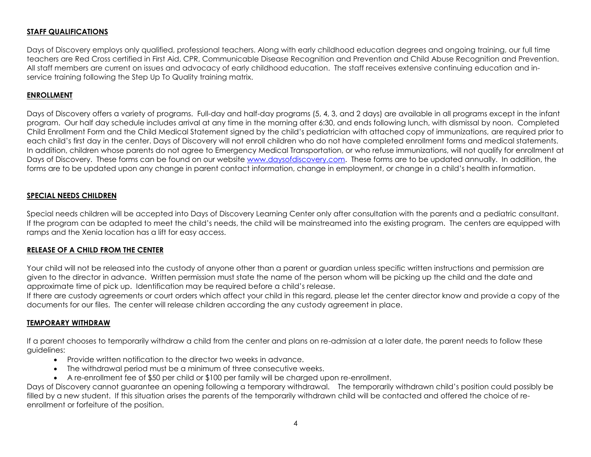## **STAFF QUALIFICATIONS**

Days of Discovery employs only qualified, professional teachers. Along with early childhood education degrees and ongoing training, our full time teachers are Red Cross certified in First Aid, CPR, Communicable Disease Recognition and Prevention and Child Abuse Recognition and Prevention. All staff members are current on issues and advocacy of early childhood education. The staff receives extensive continuing education and inservice training following the Step Up To Quality training matrix.

## **ENROLLMENT**

Days of Discovery offers a variety of programs. Full-day and half-day programs (5, 4, 3, and 2 days) are available in all programs except in the infant program. Our half day schedule includes arrival at any time in the morning after 6:30, and ends following lunch, with dismissal by noon. Completed Child Enrollment Form and the Child Medical Statement signed by the child's pediatrician with attached copy of immunizations, are required prior to each child's first day in the center. Days of Discovery will not enroll children who do not have completed enrollment forms and medical statements. In addition, children whose parents do not agree to Emergency Medical Transportation, or who refuse immunizations, will not qualify for enrollment at Days of Discovery. These forms can be found on our website [www.daysofdiscovery.com.](http://www.daysofdiscovery.com/) These forms are to be updated annually. In addition, the forms are to be updated upon any change in parent contact information, change in employment, or change in a child's health information.

#### **SPECIAL NEEDS CHILDREN**

Special needs children will be accepted into Days of Discovery Learning Center only after consultation with the parents and a pediatric consultant. If the program can be adapted to meet the child's needs, the child will be mainstreamed into the existing program. The centers are equipped with ramps and the Xenia location has a lift for easy access.

#### **RELEASE OF A CHILD FROM THE CENTER**

Your child will not be released into the custody of anyone other than a parent or guardian unless specific written instructions and permission are given to the director in advance. Written permission must state the name of the person whom will be picking up the child and the date and approximate time of pick up. Identification may be required before a child's release.

If there are custody agreements or court orders which affect your child in this regard, please let the center director know and provide a copy of the documents for our files. The center will release children according the any custody agreement in place.

#### **TEMPORARY WITHDRAW**

If a parent chooses to temporarily withdraw a child from the center and plans on re-admission at a later date, the parent needs to follow these guidelines:

- Provide written notification to the director two weeks in advance.
- The withdrawal period must be a minimum of three consecutive weeks.
- A re-enrollment fee of \$50 per child or \$100 per family will be charged upon re-enrollment.

Days of Discovery cannot guarantee an opening following a temporary withdrawal. The temporarily withdrawn child's position could possibly be filled by a new student. If this situation arises the parents of the temporarily withdrawn child will be contacted and offered the choice of reenrollment or forfeiture of the position.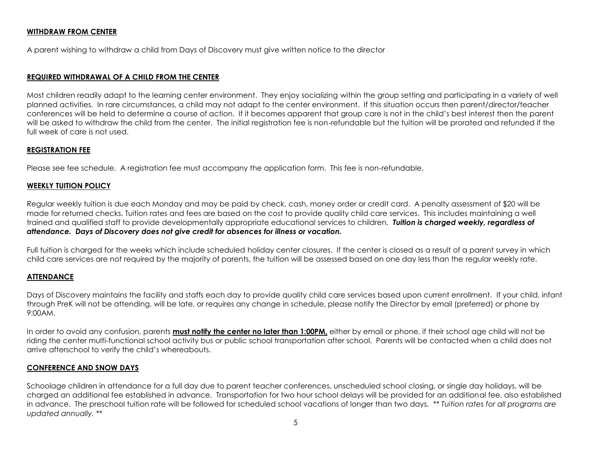#### **WITHDRAW FROM CENTER**

A parent wishing to withdraw a child from Days of Discovery must give written notice to the director

#### **REQUIRED WITHDRAWAL OF A CHILD FROM THE CENTER**

Most children readily adapt to the learning center environment. They enjoy socializing within the group setting and participating in a variety of well planned activities. In rare circumstances, a child may not adapt to the center environment. If this situation occurs then parent/director/teacher conferences will be held to determine a course of action. If it becomes apparent that group care is not in the child's best interest then the parent will be asked to withdraw the child from the center. The initial registration fee is non-refundable but the tuition will be prorated and refunded if the full week of care is not used.

#### **REGISTRATION FEE**

Please see fee schedule. A registration fee must accompany the application form. This fee is non-refundable.

#### **WEEKLY TUITION POLICY**

Regular weekly tuition is due each Monday and may be paid by check, cash, money order or credit card. A penalty assessment of \$20 will be made for returned checks. Tuition rates and fees are based on the cost to provide quality child care services. This includes maintaining a well trained and qualified staff to provide developmentally appropriate educational services to children*. Tuition is charged weekly, regardless of attendance. Days of Discovery does not give credit for absences for illness or vacation.*

Full tuition is charged for the weeks which include scheduled holiday center closures. If the center is closed as a result of a parent survey in which child care services are not required by the majority of parents, the tuition will be assessed based on one day less than the regular weekly rate.

#### **ATTENDANCE**

Days of Discovery maintains the facility and staffs each day to provide quality child care services based upon current enrollment. If your child, infant through PreK will not be attending, will be late, or requires any change in schedule, please notify the Director by email (preferred) or phone by 9:00AM.

In order to avoid any confusion, parents **must notify the center no later than 1:00PM,** either by email or phone, if their school age child will not be riding the center multi-functional school activity bus or public school transportation after school. Parents will be contacted when a child does not arrive afterschool to verify the child's whereabouts.

## **CONFERENCE AND SNOW DAYS**

Schoolage children in attendance for a full day due to parent teacher conferences, unscheduled school closing, or single day holidays, will be charged an additional fee established in advance. Transportation for two hour school delays will be provided for an additional fee, also established in advance. The preschool tuition rate will be followed for scheduled school vacations of longer than two days. *\*\* Tuition rates for all programs are updated annually. \*\**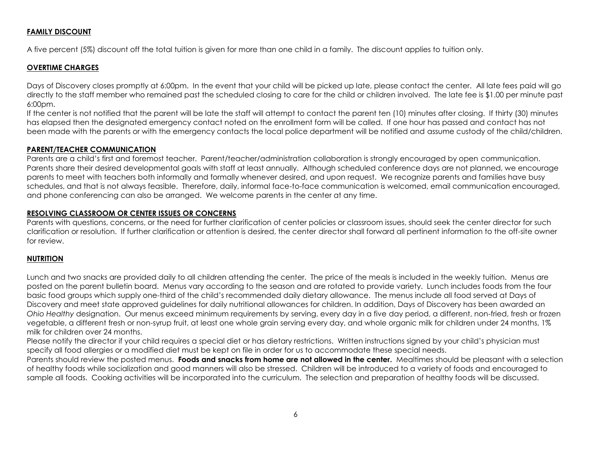#### **FAMILY DISCOUNT**

A five percent (5%) discount off the total tuition is given for more than one child in a family. The discount applies to tuition only.

## **OVERTIME CHARGES**

Days of Discovery closes promptly at 6:00pm. In the event that your child will be picked up late, please contact the center. All late fees paid will go directly to the staff member who remained past the scheduled closing to care for the child or children involved. The late fee is \$1.00 per minute past 6:00pm.

If the center is not notified that the parent will be late the staff will attempt to contact the parent ten (10) minutes after closing. If thirty (30) minutes has elapsed then the designated emergency contact noted on the enrollment form will be called. If one hour has passed and contact has not been made with the parents or with the emergency contacts the local police department will be notified and assume custody of the child/children.

## **PARENT/TEACHER COMMUNICATION**

Parents are a child's first and foremost teacher. Parent/teacher/administration collaboration is strongly encouraged by open communication. Parents share their desired developmental goals with staff at least annually. Although scheduled conference days are not planned, we encourage parents to meet with teachers both informally and formally whenever desired, and upon request. We recognize parents and families have busy schedules, and that is not always feasible. Therefore, daily, informal face-to-face communication is welcomed, email communication encouraged, and phone conferencing can also be arranged. We welcome parents in the center at any time.

#### **RESOLVING CLASSROOM OR CENTER ISSUES OR CONCERNS**

Parents with questions, concerns, or the need for further clarification of center policies or classroom issues, should seek the center director for such clarification or resolution. If further clarification or attention is desired, the center director shall forward all pertinent information to the off-site owner for review.

## **NUTRITION**

Lunch and two snacks are provided daily to all children attending the center. The price of the meals is included in the weekly tuition. Menus are posted on the parent bulletin board. Menus vary according to the season and are rotated to provide variety. Lunch includes foods from the four basic food groups which supply one-third of the child's recommended daily dietary allowance. The menus include all food served at Days of Discovery and meet state approved guidelines for daily nutritional allowances for children. In addition, Days of Discovery has been awarded an *Ohio Healthy* designation. Our menus exceed minimum requirements by serving, every day in a five day period, a different, non-fried, fresh or frozen vegetable, a different fresh or non-syrup fruit, at least one whole grain serving every day, and whole organic milk for children under 24 months, 1% milk for children over 24 months.

Please notify the director if your child requires a special diet or has dietary restrictions. Written instructions signed by your child's physician must specify all food allergies or a modified diet must be kept on file in order for us to accommodate these special needs.

Parents should review the posted menus. **Foods and snacks from home are not allowed in the center.** Mealtimes should be pleasant with a selection of healthy foods while socialization and good manners will also be stressed. Children will be introduced to a variety of foods and encouraged to sample all foods. Cooking activities will be incorporated into the curriculum. The selection and preparation of healthy foods will be discussed.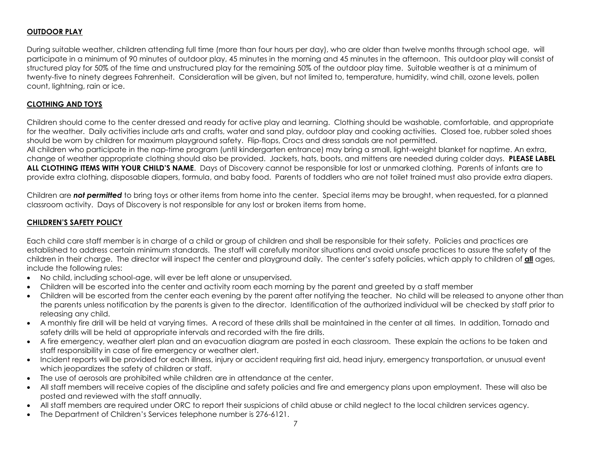## **OUTDOOR PLAY**

During suitable weather, children attending full time (more than four hours per day), who are older than twelve months through school age, will participate in a minimum of 90 minutes of outdoor play, 45 minutes in the morning and 45 minutes in the afternoon. This outdoor play will consist of structured play for 50% of the time and unstructured play for the remaining 50% of the outdoor play time. Suitable weather is at a minimum of twenty-five to ninety degrees Fahrenheit. Consideration will be given, but not limited to, temperature, humidity, wind chill, ozone levels, pollen count, lightning, rain or ice.

## **CLOTHING AND TOYS**

Children should come to the center dressed and ready for active play and learning. Clothing should be washable, comfortable, and appropriate for the weather. Daily activities include arts and crafts, water and sand play, outdoor play and cooking activities. Closed toe, rubber soled shoes should be worn by children for maximum playground safety. Flip-flops, Crocs and dress sandals are not permitted.

All children who participate in the nap-time program (until kindergarten entrance) may bring a small, light-weight blanket for naptime. An extra, change of weather appropriate clothing should also be provided. Jackets, hats, boots, and mittens are needed during colder days. **PLEASE LABEL ALL CLOTHING ITEMS WITH YOUR CHILD'S NAME**. Days of Discovery cannot be responsible for lost or unmarked clothing. Parents of infants are to provide extra clothing, disposable diapers, formula, and baby food. Parents of toddlers who are not toilet trained must also provide extra diapers.

Children are *not permitted* to bring toys or other items from home into the center. Special items may be brought, when requested, for a planned classroom activity. Days of Discovery is not responsible for any lost or broken items from home.

#### **CHILDREN'S SAFETY POLICY**

Each child care staff member is in charge of a child or group of children and shall be responsible for their safety. Policies and practices are established to address certain minimum standards. The staff will carefully monitor situations and avoid unsafe practices to assure the safety of the children in their charge. The director will inspect the center and playground daily. The center's safety policies, which apply to children of **all** ages, include the following rules:

- No child, including school-age, will ever be left alone or unsupervised.
- Children will be escorted into the center and activity room each morning by the parent and greeted by a staff member
- Children will be escorted from the center each evening by the parent after notifying the teacher. No child will be released to anyone other than the parents unless notification by the parents is given to the director. Identification of the authorized individual will be checked by staff prior to releasing any child.
- A monthly fire drill will be held at varying times. A record of these drills shall be maintained in the center at all times. In addition, Tornado and safety drills will be held at appropriate intervals and recorded with the fire drills.
- A fire emergency, weather alert plan and an evacuation diagram are posted in each classroom. These explain the actions to be taken and staff responsibility in case of fire emergency or weather alert.
- Incident reports will be provided for each illness, injury or accident requiring first aid, head injury, emergency transportation, or unusual event which jeopardizes the safety of children or staff.
- The use of aerosols are prohibited while children are in attendance at the center.
- All staff members will receive copies of the discipline and safety policies and fire and emergency plans upon employment. These will also be posted and reviewed with the staff annually.
- All staff members are required under ORC to report their suspicions of child abuse or child neglect to the local children services agency.
- The Department of Children's Services telephone number is 276-6121.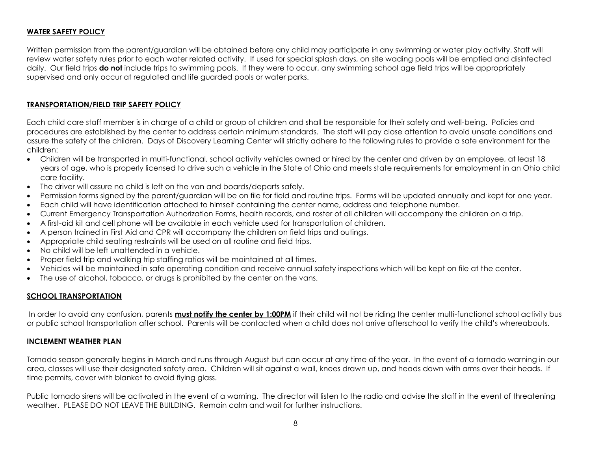#### **WATER SAFETY POLICY**

Written permission from the parent/guardian will be obtained before any child may participate in any swimming or water play activity. Staff will review water safety rules prior to each water related activity. If used for special splash days, on site wading pools will be emptied and disinfected daily. Our field trips **do not** include trips to swimming pools. If they were to occur, any swimming school age field trips will be appropriately supervised and only occur at regulated and life guarded pools or water parks.

#### **TRANSPORTATION/FIELD TRIP SAFETY POLICY**

Each child care staff member is in charge of a child or group of children and shall be responsible for their safety and well-being. Policies and procedures are established by the center to address certain minimum standards. The staff will pay close attention to avoid unsafe conditions and assure the safety of the children. Days of Discovery Learning Center will strictly adhere to the following rules to provide a safe environment for the children:

- Children will be transported in multi-functional, school activity vehicles owned or hired by the center and driven by an employee, at least 18 years of age, who is properly licensed to drive such a vehicle in the State of Ohio and meets state requirements for employment in an Ohio child care facility.
- The driver will assure no child is left on the van and boards/departs safely.
- Permission forms signed by the parent/guardian will be on file for field and routine trips. Forms will be updated annually and kept for one year.
- Each child will have identification attached to himself containing the center name, address and telephone number.
- Current Emergency Transportation Authorization Forms, health records, and roster of all children will accompany the children on a trip.
- A first-aid kit and cell phone will be available in each vehicle used for transportation of children.
- A person trained in First Aid and CPR will accompany the children on field trips and outings.
- Appropriate child seating restraints will be used on all routine and field trips.
- No child will be left unattended in a vehicle.
- Proper field trip and walking trip staffing ratios will be maintained at all times.
- Vehicles will be maintained in safe operating condition and receive annual safety inspections which will be kept on file at the center.
- The use of alcohol, tobacco, or drugs is prohibited by the center on the vans.

## **SCHOOL TRANSPORTATION**

In order to avoid any confusion, parents **must notify the center by 1:00PM** if their child will not be riding the center multi-functional school activity bus or public school transportation after school. Parents will be contacted when a child does not arrive afterschool to verify the child's whereabouts.

#### **INCLEMENT WEATHER PLAN**

Tornado season generally begins in March and runs through August but can occur at any time of the year. In the event of a tornado warning in our area, classes will use their designated safety area. Children will sit against a wall, knees drawn up, and heads down with arms over their heads. If time permits, cover with blanket to avoid flying glass.

Public tornado sirens will be activated in the event of a warning. The director will listen to the radio and advise the staff in the event of threatening weather. PLEASE DO NOT LEAVE THE BUILDING. Remain calm and wait for further instructions.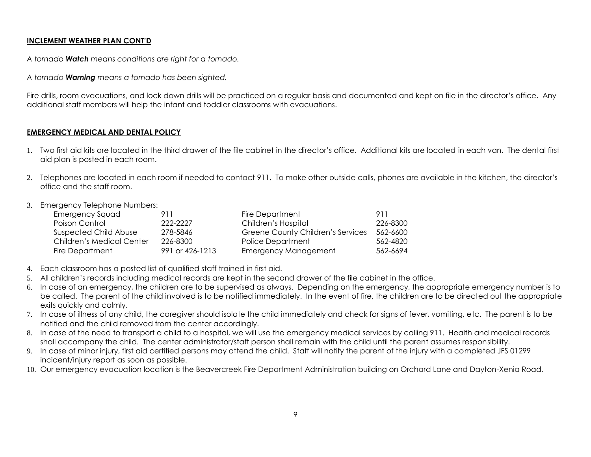## **INCLEMENT WEATHER PLAN CONT'D**

*A tornado Watch means conditions are right for a tornado.*

*A tornado Warning means a tornado has been sighted.*

Fire drills, room evacuations, and lock down drills will be practiced on a regular basis and documented and kept on file in the director's office. Any additional staff members will help the infant and toddler classrooms with evacuations.

## **EMERGENCY MEDICAL AND DENTAL POLICY**

- 1. Two first aid kits are located in the third drawer of the file cabinet in the director's office. Additional kits are located in each van. The dental first aid plan is posted in each room.
- 2. Telephones are located in each room if needed to contact 911. To make other outside calls, phones are available in the kitchen, the director's office and the staff room.
- 3. Emergency Telephone Numbers:

| <b>Emergency Squad</b>    | 911             | <b>Fire Department</b>            | 911      |
|---------------------------|-----------------|-----------------------------------|----------|
| Poison Control            | 222-2227        | Children's Hospital               | 226-8300 |
| Suspected Child Abuse     | 278-5846        | Greene County Children's Services | 562-6600 |
| Children's Medical Center | 226-8300        | Police Department                 | 562-4820 |
| Fire Department           | 991 or 426-1213 | <b>Emergency Management</b>       | 562-6694 |

- 4. Each classroom has a posted list of qualified staff trained in first aid.
- 5. All children's records including medical records are kept in the second drawer of the file cabinet in the office.
- 6. In case of an emergency, the children are to be supervised as always. Depending on the emergency, the appropriate emergency number is to be called. The parent of the child involved is to be notified immediately. In the event of fire, the children are to be directed out the appropriate exits quickly and calmly.
- 7. In case of illness of any child, the caregiver should isolate the child immediately and check for signs of fever, vomiting, etc. The parent is to be notified and the child removed from the center accordingly.
- 8. In case of the need to transport a child to a hospital, we will use the emergency medical services by calling 911. Health and medical records shall accompany the child. The center administrator/staff person shall remain with the child until the parent assumes responsibility.
- 9. In case of minor injury, first aid certified persons may attend the child. Staff will notify the parent of the injury with a completed JFS 01299 incident/injury report as soon as possible.
- 10. Our emergency evacuation location is the Beavercreek Fire Department Administration building on Orchard Lane and Dayton-Xenia Road.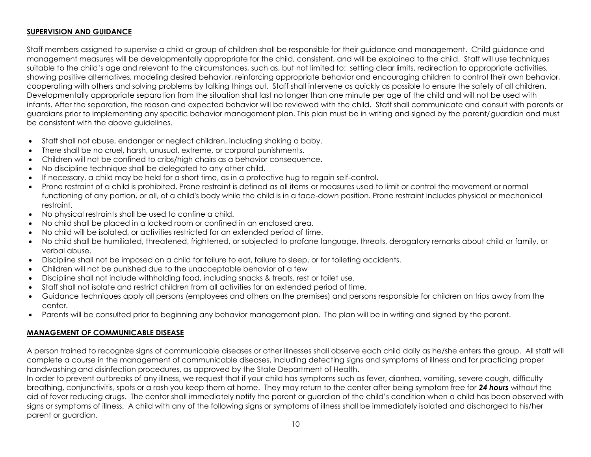## **SUPERVISION AND GUIDANCE**

Staff members assigned to supervise a child or group of children shall be responsible for their guidance and management. Child guidance and management measures will be developmentally appropriate for the child, consistent, and will be explained to the child. Staff will use techniques suitable to the child's age and relevant to the circumstances, such as, but not limited to: setting clear limits, redirection to appropriate activities, showing positive alternatives, modeling desired behavior, reinforcing appropriate behavior and encouraging children to control their own behavior, cooperating with others and solving problems by talking things out. Staff shall intervene as quickly as possible to ensure the safety of all children. Developmentally appropriate separation from the situation shall last no longer than one minute per age of the child and will not be used with infants. After the separation, the reason and expected behavior will be reviewed with the child. Staff shall communicate and consult with parents or guardians prior to implementing any specific behavior management plan. This plan must be in writing and signed by the parent/guardian and must be consistent with the above guidelines.

- Staff shall not abuse, endanger or neglect children, including shaking a baby.
- There shall be no cruel, harsh, unusual, extreme, or corporal punishments.
- Children will not be confined to cribs/high chairs as a behavior consequence.
- No discipline technique shall be delegated to any other child.
- If necessary, a child may be held for a short time, as in a protective hug to regain self-control.
- Prone restraint of a child is prohibited. Prone restraint is defined as all items or measures used to limit or control the movement or normal functioning of any portion, or all, of a child's body while the child is in a face-down position. Prone restraint includes physical or mechanical restraint.
- No physical restraints shall be used to confine a child.
- No child shall be placed in a locked room or confined in an enclosed area.
- No child will be isolated, or activities restricted for an extended period of time.
- No child shall be humiliated, threatened, frightened, or subjected to profane language, threats, derogatory remarks about child or family, or verbal abuse.
- Discipline shall not be imposed on a child for failure to eat, failure to sleep, or for toileting accidents.
- Children will not be punished due to the unacceptable behavior of a few
- Discipline shall not include withholding food, including snacks & treats, rest or toilet use.
- Staff shall not isolate and restrict children from all activities for an extended period of time.
- Guidance techniques apply all persons (employees and others on the premises) and persons responsible for children on trips away from the center.
- Parents will be consulted prior to beginning any behavior management plan. The plan will be in writing and signed by the parent.

## **MANAGEMENT OF COMMUNICABLE DISEASE**

A person trained to recognize signs of communicable diseases or other illnesses shall observe each child daily as he/she enters the group. All staff will complete a course in the management of communicable diseases, including detecting signs and symptoms of illness and for practicing proper handwashing and disinfection procedures, as approved by the State Department of Health.

In order to prevent outbreaks of any illness, we request that if your child has symptoms such as fever, diarrhea, vomiting, severe cough, difficulty breathing, conjunctivitis, spots or a rash you keep them at home. They may return to the center after being symptom free for *24 hours* without the aid of fever reducing drugs. The center shall immediately notify the parent or guardian of the child's condition when a child has been observed with signs or symptoms of illness. A child with any of the following signs or symptoms of illness shall be immediately isolated and discharged to his/her parent or guardian.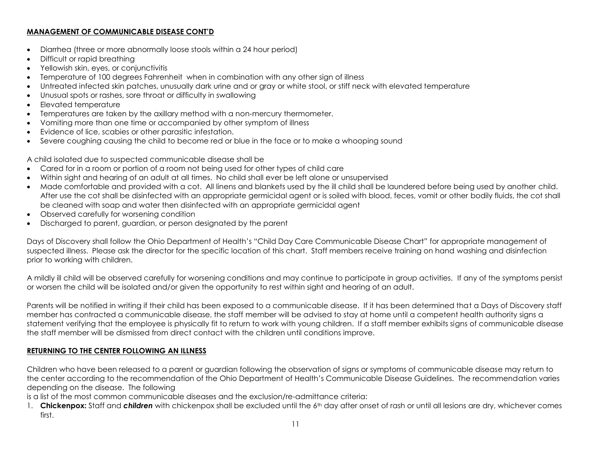## **MANAGEMENT OF COMMUNICABLE DISEASE CONT'D**

- Diarrhea (three or more abnormally loose stools within a 24 hour period)
- Difficult or rapid breathing
- Yellowish skin, eyes, or conjunctivitis
- Temperature of 100 degrees Fahrenheit when in combination with any other sign of illness
- Untreated infected skin patches, unusually dark urine and or gray or white stool, or stiff neck with elevated temperature
- Unusual spots or rashes, sore throat or difficulty in swallowing
- Elevated temperature
- Temperatures are taken by the axillary method with a non-mercury thermometer.
- Vomiting more than one time or accompanied by other symptom of illness
- Evidence of lice, scabies or other parasitic infestation.
- Severe coughing causing the child to become red or blue in the face or to make a whooping sound

A child isolated due to suspected communicable disease shall be

- Cared for in a room or portion of a room not being used for other types of child care
- Within sight and hearing of an adult at all times. No child shall ever be left alone or unsupervised
- Made comfortable and provided with a cot. All linens and blankets used by the ill child shall be laundered before being used by another child. After use the cot shall be disinfected with an appropriate germicidal agent or is soiled with blood, feces, vomit or other bodily fluids, the cot shall be cleaned with soap and water then disinfected with an appropriate germicidal agent
- Observed carefully for worsening condition
- Discharged to parent, guardian, or person designated by the parent

Days of Discovery shall follow the Ohio Department of Health's "Child Day Care Communicable Disease Chart" for appropriate management of suspected illness. Please ask the director for the specific location of this chart. Staff members receive training on hand washing and disinfection prior to working with children.

A mildly ill child will be observed carefully for worsening conditions and may continue to participate in group activities. If any of the symptoms persist or worsen the child will be isolated and/or given the opportunity to rest within sight and hearing of an adult.

Parents will be notified in writing if their child has been exposed to a communicable disease. If it has been determined that a Days of Discovery staff member has contracted a communicable disease, the staff member will be advised to stay at home until a competent health authority signs a statement verifying that the employee is physically fit to return to work with young children. If a staff member exhibits signs of communicable disease the staff member will be dismissed from direct contact with the children until conditions improve.

## **RETURNING TO THE CENTER FOLLOWING AN ILLNESS**

Children who have been released to a parent or guardian following the observation of signs or symptoms of communicable disease may return to the center according to the recommendation of the Ohio Department of Health's Communicable Disease Guidelines. The recommendation varies depending on the disease. The following

is a list of the most common communicable diseases and the exclusion/re-admittance criteria:

1. Chickenpox: Staff and children with chickenpox shall be excluded until the 6<sup>th</sup> day after onset of rash or until all lesions are dry, whichever comes first.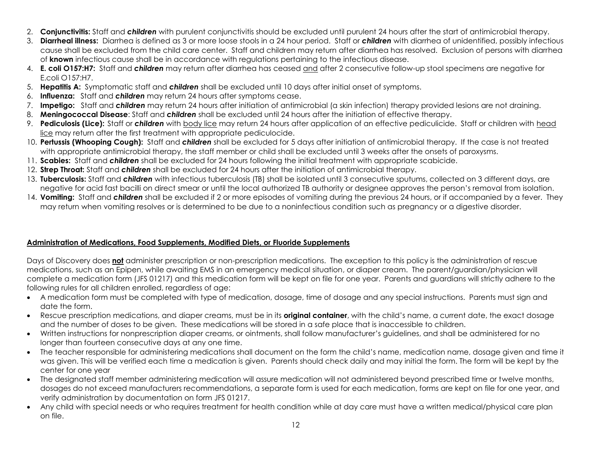- 2. **Conjunctivitis:** Staff and *children* with purulent conjunctivitis should be excluded until purulent 24 hours after the start of antimicrobial therapy.
- 3. **Diarrheal illness:** Diarrhea is defined as 3 or more loose stools in a 24 hour period. Staff or *children* with diarrhea of unidentified, possibly infectious cause shall be excluded from the child care center. Staff and children may return after diarrhea has resolved. Exclusion of persons with diarrhea of **known** infectious cause shall be in accordance with regulations pertaining to the infectious disease.
- 4. **E. coli O157:H7:** Staff and *children* may return after diarrhea has ceased and after 2 consecutive follow-up stool specimens are negative for E.coli O157:H7.
- 5. **Hepatitis A:** Symptomatic staff and *children* shall be excluded until 10 days after initial onset of symptoms.
- 6. **Influenza:** Staff and *children* may return 24 hours after symptoms cease.
- 7. **Impetigo:** Staff and *children* may return 24 hours after initiation of antimicrobial (a skin infection) therapy provided lesions are not draining.
- 8. **Meningococcal Disease**: Staff and *children* shall be excluded until 24 hours after the initiation of effective therapy.
- 9. **Pediculosis (Lice):** Staff or *children* with body lice may return 24 hours after application of an effective pediculicide. Staff or children with head lice may return after the first treatment with appropriate pediculocide.
- 10. **Pertussis (Whooping Cough):** Staff and *children* shall be excluded for 5 days after initiation of antimicrobial therapy. If the case is not treated with appropriate antimicrobial therapy, the staff member or child shall be excluded until 3 weeks after the onsets of paroxysms.
- 11. **Scabies:** Staff and *children* shall be excluded for 24 hours following the initial treatment with appropriate scabicide.
- 12. **Strep Throat:** Staff and *children* shall be excluded for 24 hours after the initiation of antimicrobial therapy.
- 13. **Tuberculosis:** Staff and *children* with infectious tuberculosis (TB) shall be isolated until 3 consecutive sputums, collected on 3 different days, are negative for acid fast bacilli on direct smear or until the local authorized TB authority or designee approves the person's removal from isolation.
- 14. **Vomiting:** Staff and *children* shall be excluded if 2 or more episodes of vomiting during the previous 24 hours, or if accompanied by a fever. They may return when vomiting resolves or is determined to be due to a noninfectious condition such as pregnancy or a digestive disorder.

## **Administration of Medications, Food Supplements, Modified Diets, or Fluoride Supplements**

Days of Discovery does **not** administer prescription or non-prescription medications. The exception to this policy is the administration of rescue medications, such as an Epipen, while awaiting EMS in an emergency medical situation, or diaper cream. The parent/guardian/physician will complete a medication form (JFS 01217) and this medication form will be kept on file for one year. Parents and guardians will strictly adhere to the following rules for all children enrolled, regardless of age:

- A medication form must be completed with type of medication, dosage, time of dosage and any special instructions. Parents must sign and date the form.
- Rescue prescription medications, and diaper creams, must be in its **original container**, with the child's name, a current date, the exact dosage and the number of doses to be given. These medications will be stored in a safe place that is inaccessible to children.
- Written instructions for nonprescription diaper creams, or ointments, shall follow manufacturer's guidelines, and shall be administered for no longer than fourteen consecutive days at any one time.
- The teacher responsible for administering medications shall document on the form the child's name, medication name, dosage given and time it was given. This will be verified each time a medication is given. Parents should check daily and may initial the form. The form will be kept by the center for one year
- The designated staff member administering medication will assure medication will not administered beyond prescribed time or twelve months, dosages do not exceed manufacturers recommendations, a separate form is used for each medication, forms are kept on file for one year, and verify administration by documentation on form JFS 01217.
- Any child with special needs or who requires treatment for health condition while at day care must have a written medical/physical care plan on file.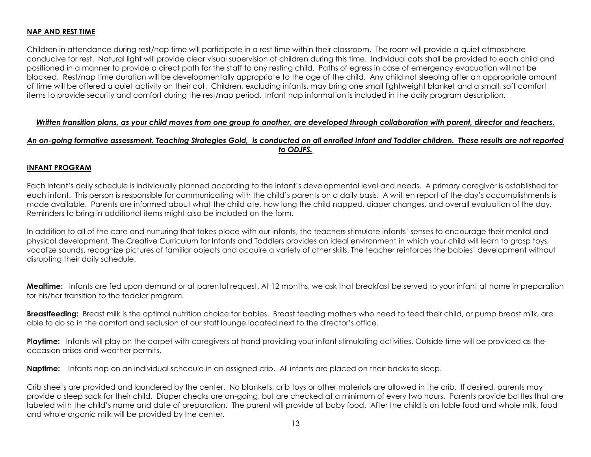#### **NAP AND REST TIME**

Children in attendance during rest/nap time will participate in a rest time within their classroom. The room will provide a quiet atmosphere conducive for rest. Natural light will provide clear visual supervision of children during this time. Individual cots shall be provided to each child and positioned in a manner to provide a direct path for the staff to any resting child. Paths of egress in case of emergency evacuation will not be blocked. Rest/nap time duration will be developmentally appropriate to the age of the child. Any child not sleeping after an appropriate amount of time will be offered a quiet activity on their cot. Children, excluding infants, may bring one small lightweight blanket and a small, soft comfort items to provide security and comfort during the rest/nap period. Infant nap information is included in the daily program description.

#### *Written transition plans, as your child moves from one group to another, are developed through collaboration with parent, director and teachers.*

## *An on-going formative assessment, Teaching Strategies Gold, is conducted on all enrolled Infant and Toddler children. These results are not reported to ODJFS.*

#### **INFANT PROGRAM**

Each infant's daily schedule is individually planned according to the infant's developmental level and needs. A primary caregiver is established for each infant. This person is responsible for communicating with the child's parents on a daily basis. A written report of the day's accomplishments is made available. Parents are informed about what the child ate, how long the child napped, diaper changes, and overall evaluation of the day. Reminders to bring in additional items might also be included on the form.

In addition to all of the care and nurturing that takes place with our infants, the teachers stimulate infants' senses to encourage their mental and physical development. The Creative Curriculum for Infants and Toddlers provides an ideal environment in which your child will learn to grasp toys, vocalize sounds, recognize pictures of familiar objects and acquire a variety of other skills. The teacher reinforces the babies' development without disrupting their daily schedule.

**Mealtime:** Infants are fed upon demand or at parental request. At 12 months, we ask that breakfast be served to your infant at home in preparation for his/her transition to the toddler program.

**Breastfeeding:** Breast milk is the optimal nutrition choice for babies. Breast feeding mothers who need to feed their child, or pump breast milk, are able to do so in the comfort and seclusion of our staff lounge located next to the director's office.

**Playtime:** Infants will play on the carpet with caregivers at hand providing your infant stimulating activities. Outside time will be provided as the occasion arises and weather permits.

**Naptime:** Infants nap on an individual schedule in an assigned crib. All infants are placed on their backs to sleep.

Crib sheets are provided and laundered by the center. No blankets, crib toys or other materials are allowed in the crib. If desired, parents may provide a sleep sack for their child. Diaper checks are on-going, but are checked at a minimum of every two hours. Parents provide bottles that are labeled with the child's name and date of preparation. The parent will provide all baby food. After the child is on table food and whole milk, food and whole organic milk will be provided by the center.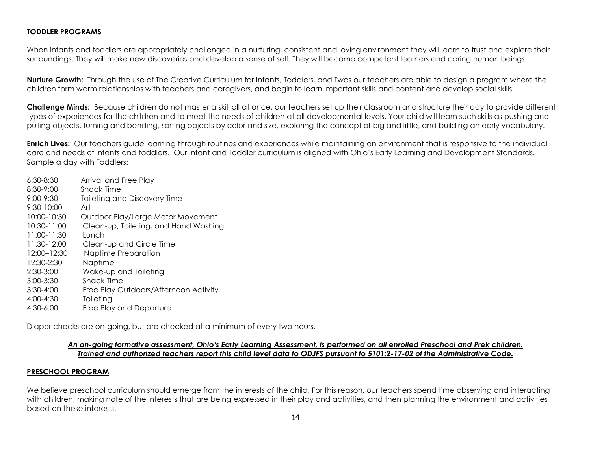#### **TODDLER PROGRAMS**

When infants and toddlers are appropriately challenged in a nurturing, consistent and loving environment they will learn to trust and explore their surroundings. They will make new discoveries and develop a sense of self. They will become competent learners and caring human beings.

**Nurture Growth:** Through the use of The Creative Curriculum for Infants, Toddlers, and Twos our teachers are able to design a program where the children form warm relationships with teachers and caregivers, and begin to learn important skills and content and develop social skills.

**Challenge Minds:** Because children do not master a skill all at once, our teachers set up their classroom and structure their day to provide different types of experiences for the children and to meet the needs of children at all developmental levels. Your child will learn such skills as pushing and pulling objects, turning and bending, sorting objects by color and size, exploring the concept of big and little, and building an early vocabulary.

**Enrich Lives:** Our teachers guide learning through routines and experiences while maintaining an environment that is responsive to the individual care and needs of infants and toddlers. Our Infant and Toddler curriculum is aligned with Ohio's Early Learning and Development Standards. Sample a day with Toddlers:

| $6:30 - 8:30$  | Arrival and Free Play                 |
|----------------|---------------------------------------|
| $8:30 - 9:00$  | Snack Time                            |
| $9:00 - 9:30$  | <b>Toileting and Discovery Time</b>   |
| $9:30 - 10:00$ | Art                                   |
| 10:00-10:30    | Outdoor Play/Large Motor Movement     |
| 10:30-11:00    | Clean-up, Toileting, and Hand Washing |
| $11:00-11:30$  | Lunch                                 |
| 11:30-12:00    | Clean-up and Circle Time              |
| 12:00-12:30    | Naptime Preparation                   |
| 12:30-2:30     | Naptime                               |
| $2:30-3:00$    | Wake-up and Toileting                 |
| $3:00 - 3:30$  | Snack Time                            |
| $3:30-4:00$    | Free Play Outdoors/Afternoon Activity |
| $4:00 - 4:30$  | Toileting                             |
| 4:30-6:00      | Free Play and Departure               |

Diaper checks are on-going, but are checked at a minimum of every two hours.

#### *An on-going formative assessment, Ohio's Early Learning Assessment, is performed on all enrolled Preschool and Prek children. Trained and authorized teachers report this child level data to ODJFS pursuant to 5101:2-17-02 of the Administrative Code.*

#### **PRESCHOOL PROGRAM**

We believe preschool curriculum should emerge from the interests of the child. For this reason, our teachers spend time observing and interacting with children, making note of the interests that are being expressed in their play and activities, and then planning the environment and activities based on these interests.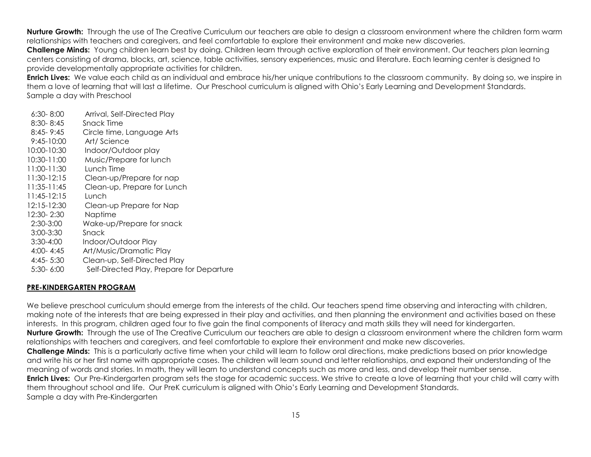**Nurture Growth:** Through the use of The Creative Curriculum our teachers are able to design a classroom environment where the children form warm relationships with teachers and caregivers, and feel comfortable to explore their environment and make new discoveries.

**Challenge Minds:** Young children learn best by doing. Children learn through active exploration of their environment. Our teachers plan learning centers consisting of drama, blocks, art, science, table activities, sensory experiences, music and literature. Each learning center is designed to provide developmentally appropriate activities for children.

**Enrich Lives:** We value each child as an individual and embrace his/her unique contributions to the classroom community. By doing so, we inspire in them a love of learning that will last a lifetime. Our Preschool curriculum is aligned with Ohio's Early Learning and Development Standards. Sample a day with Preschool

- 6:30- 8:00 Arrival, Self-Directed Play 8:30- 8:45 Snack Time 8:45- 9:45 Circle time, Language Arts 9:45-10:00 Art/ Science 10:00-10:30 Indoor/Outdoor play 10:30-11:00 Music/Prepare for lunch 11:00-11:30 Lunch Time 11:30-12:15 Clean-up/Prepare for nap 11:35-11:45 Clean-up, Prepare for Lunch 11:45-12:15 Lunch 12:15-12:30 Clean-up Prepare for Nap 12:30- 2:30 Naptime 2:30-3:00 Wake-up/Prepare for snack 3:00-3:30 Snack
- 3:30-4:00 Indoor/Outdoor Play
- 4:00- 4:45 Art/Music/Dramatic Play
- 4:45- 5:30 Clean-up, Self-Directed Play
- 5:30- 6:00 Self-Directed Play, Prepare for Departure

## **PRE-KINDERGARTEN PROGRAM**

We believe preschool curriculum should emerge from the interests of the child. Our teachers spend time observing and interacting with children, making note of the interests that are being expressed in their play and activities, and then planning the environment and activities based on these interests. In this program, children aged four to five gain the final components of literacy and math skills they will need for kindergarten. **Nurture Growth:** Through the use of The Creative Curriculum our teachers are able to design a classroom environment where the children form warm relationships with teachers and caregivers, and feel comfortable to explore their environment and make new discoveries. **Challenge Minds:** This is a particularly active time when your child will learn to follow oral directions, make predictions based on prior knowledge and write his or her first name with appropriate cases. The children will learn sound and letter relationships, and expand their understanding of the meaning of words and stories. In math, they will learn to understand concepts such as more and less, and develop their number sense. **Enrich Lives:** Our Pre-Kindergarten program sets the stage for academic success. We strive to create a love of learning that your child will carry with them throughout school and life. Our PreK curriculum is aligned with Ohio's Early Learning and Development Standards. Sample a day with Pre-Kindergarten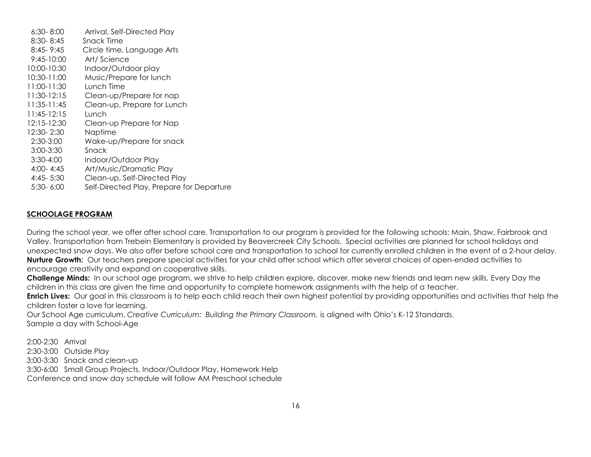6:30- 8:00 Arrival, Self-Directed Play 8:30- 8:45 Snack Time 8:45- 9:45 Circle time, Language Arts 9:45-10:00 Art/ Science 10:00-10:30 Indoor/Outdoor play 10:30-11:00 Music/Prepare for lunch 11:00-11:30 Lunch Time 11:30-12:15 Clean-up/Prepare for nap 11:35-11:45 Clean-up, Prepare for Lunch 11:45-12:15 Lunch 12:15-12:30 Clean-up Prepare for Nap 12:30- 2:30 Naptime 2:30-3:00 Wake-up/Prepare for snack 3:00-3:30 Snack 3:30-4:00 Indoor/Outdoor Play 4:00- 4:45 Art/Music/Dramatic Play 4:45- 5:30 Clean-up, Self-Directed Play 5:30- 6:00 Self-Directed Play, Prepare for Departure

#### **SCHOOLAGE PROGRAM**

During the school year, we offer after school care. Transportation to our program is provided for the following schools: Main, Shaw, Fairbrook and Valley. Transportation from Trebein Elementary is provided by Beavercreek City Schools. Special activities are planned for school holidays and unexpected snow days. We also offer before school care and transportation to school for currently enrolled children in the event of a 2-hour delay. **Nurture Growth:** Our teachers prepare special activities for your child after school which offer several choices of open-ended activities to encourage creativity and expand on cooperative skills.

**Challenge Minds:** In our school age program, we strive to help children explore, discover, make new friends and learn new skills. Every Day the children in this class are given the time and opportunity to complete homework assignments with the help of a teacher.

**Enrich Lives:** Our goal in this classroom is to help each child reach their own highest potential by providing opportunities and activities that help the children foster a love for learning.

Our School Age curriculum, *Creative Curriculum: Building the Primary Classroom,* is aligned with Ohio's K-12 Standards. Sample a day with School-Age

2:00-2:30 Arrival

- 2:30-3:00 Outside Play
- 3:00-3:30 Snack and clean-up

3:30-6:00 Small Group Projects, Indoor/Outdoor Play, Homework Help

Conference and snow day schedule will follow AM Preschool schedule